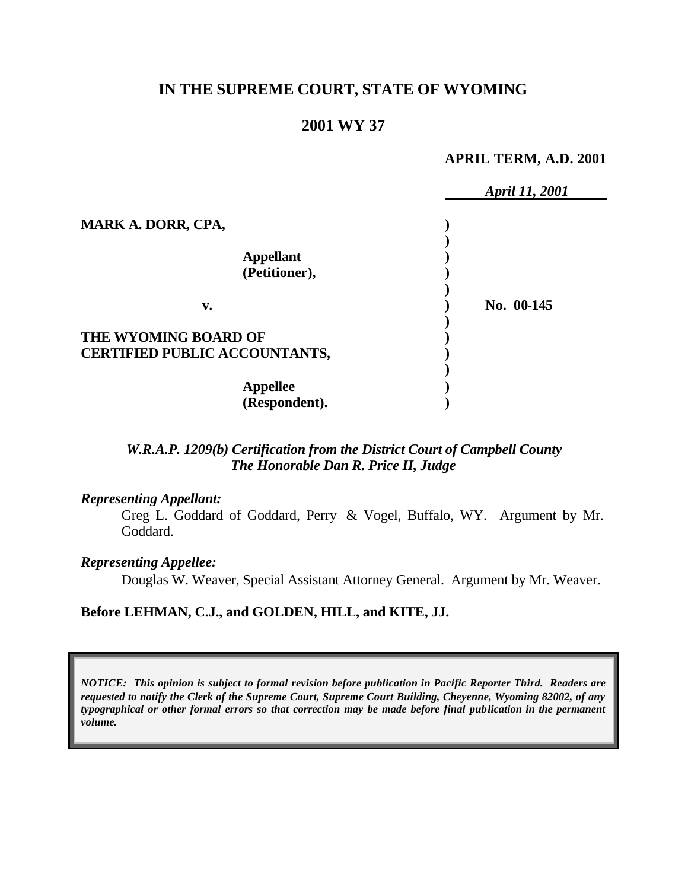# **IN THE SUPREME COURT, STATE OF WYOMING**

# **2001 WY 37**

#### **APRIL TERM, A.D. 2001**

|                                      | April 11, 2001 |
|--------------------------------------|----------------|
| <b>MARK A. DORR, CPA,</b>            |                |
|                                      |                |
| <b>Appellant</b>                     |                |
| (Petitioner),                        |                |
|                                      |                |
| v.                                   | No. 00-145     |
|                                      |                |
| THE WYOMING BOARD OF                 |                |
| <b>CERTIFIED PUBLIC ACCOUNTANTS,</b> |                |
|                                      |                |
| <b>Appellee</b>                      |                |
| (Respondent).                        |                |

### *W.R.A.P. 1209(b) Certification from the District Court of Campbell County The Honorable Dan R. Price II, Judge*

#### *Representing Appellant:*

Greg L. Goddard of Goddard, Perry & Vogel, Buffalo, WY. Argument by Mr. Goddard.

#### *Representing Appellee:*

Douglas W. Weaver, Special Assistant Attorney General. Argument by Mr. Weaver.

#### **Before LEHMAN, C.J., and GOLDEN, HILL, and KITE, JJ.**

*NOTICE: This opinion is subject to formal revision before publication in Pacific Reporter Third. Readers are requested to notify the Clerk of the Supreme Court, Supreme Court Building, Cheyenne, Wyoming 82002, of any typographical or other formal errors so that correction may be made before final publication in the permanent volume.*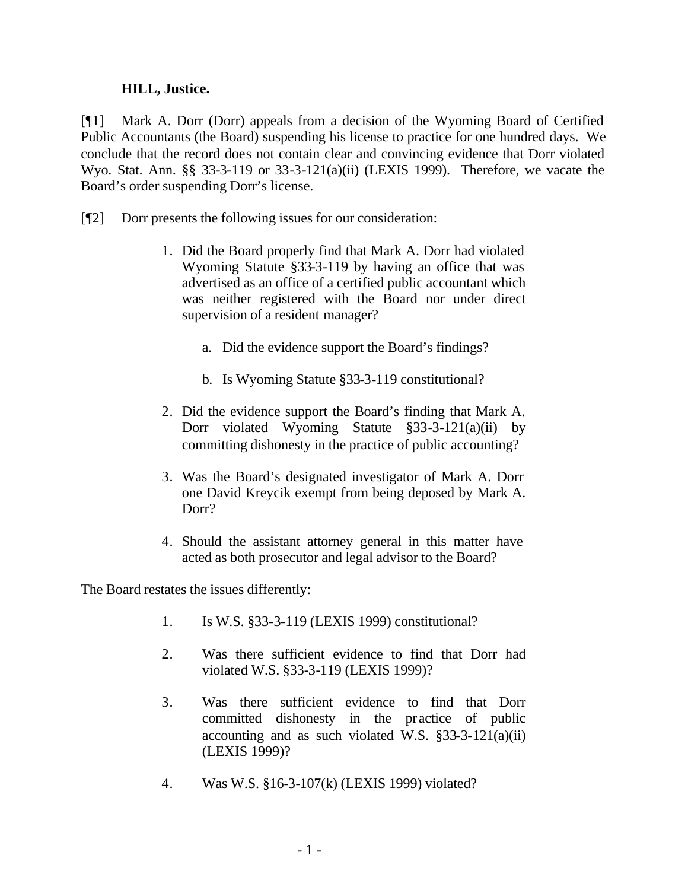### **HILL, Justice.**

[¶1] Mark A. Dorr (Dorr) appeals from a decision of the Wyoming Board of Certified Public Accountants (the Board) suspending his license to practice for one hundred days. We conclude that the record does not contain clear and convincing evidence that Dorr violated Wyo. Stat. Ann. §§ 33-3-119 or 33-3-121(a)(ii) (LEXIS 1999). Therefore, we vacate the Board's order suspending Dorr's license.

- [¶2] Dorr presents the following issues for our consideration:
	- 1. Did the Board properly find that Mark A. Dorr had violated Wyoming Statute §33-3-119 by having an office that was advertised as an office of a certified public accountant which was neither registered with the Board nor under direct supervision of a resident manager?
		- a. Did the evidence support the Board's findings?
		- b. Is Wyoming Statute §33-3-119 constitutional?
	- 2. Did the evidence support the Board's finding that Mark A. Dorr violated Wyoming Statute §33-3-121(a)(ii) by committing dishonesty in the practice of public accounting?
	- 3. Was the Board's designated investigator of Mark A. Dorr one David Kreycik exempt from being deposed by Mark A. Dorr?
	- 4. Should the assistant attorney general in this matter have acted as both prosecutor and legal advisor to the Board?

The Board restates the issues differently:

- 1. Is W.S. §33-3-119 (LEXIS 1999) constitutional?
- 2. Was there sufficient evidence to find that Dorr had violated W.S. §33-3-119 (LEXIS 1999)?
- 3. Was there sufficient evidence to find that Dorr committed dishonesty in the practice of public accounting and as such violated W.S.  $\S$ 33-3-121(a)(ii) (LEXIS 1999)?
- 4. Was W.S. §16-3-107(k) (LEXIS 1999) violated?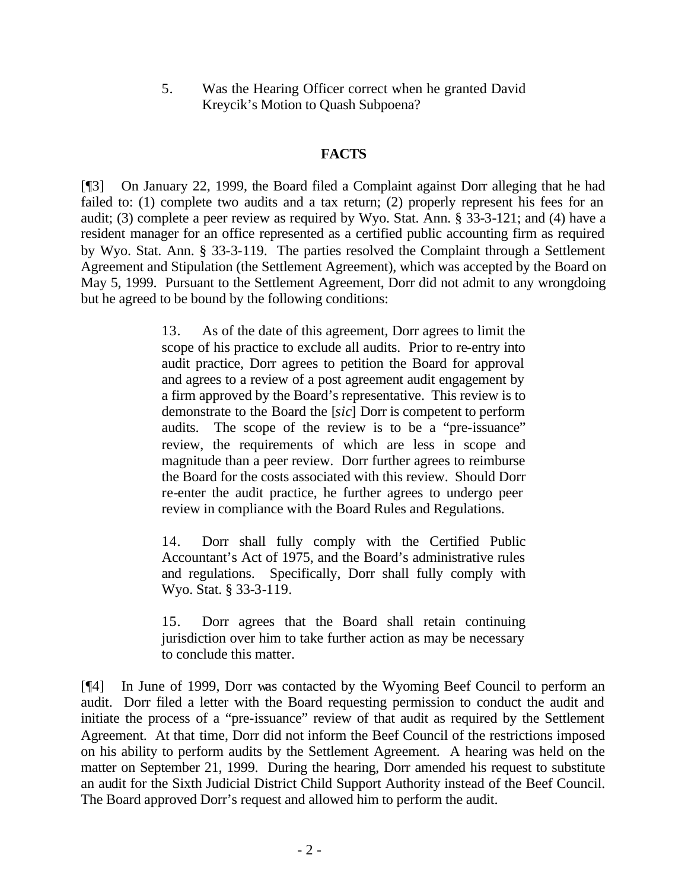5. Was the Hearing Officer correct when he granted David Kreycik's Motion to Quash Subpoena?

## **FACTS**

[¶3] On January 22, 1999, the Board filed a Complaint against Dorr alleging that he had failed to: (1) complete two audits and a tax return; (2) properly represent his fees for an audit; (3) complete a peer review as required by Wyo. Stat. Ann. § 33-3-121; and (4) have a resident manager for an office represented as a certified public accounting firm as required by Wyo. Stat. Ann. § 33-3-119. The parties resolved the Complaint through a Settlement Agreement and Stipulation (the Settlement Agreement), which was accepted by the Board on May 5, 1999. Pursuant to the Settlement Agreement, Dorr did not admit to any wrongdoing but he agreed to be bound by the following conditions:

> 13. As of the date of this agreement, Dorr agrees to limit the scope of his practice to exclude all audits. Prior to re-entry into audit practice, Dorr agrees to petition the Board for approval and agrees to a review of a post agreement audit engagement by a firm approved by the Board's representative. This review is to demonstrate to the Board the [*sic*] Dorr is competent to perform audits. The scope of the review is to be a "pre-issuance" review, the requirements of which are less in scope and magnitude than a peer review. Dorr further agrees to reimburse the Board for the costs associated with this review. Should Dorr re-enter the audit practice, he further agrees to undergo peer review in compliance with the Board Rules and Regulations.

> 14. Dorr shall fully comply with the Certified Public Accountant's Act of 1975, and the Board's administrative rules and regulations. Specifically, Dorr shall fully comply with Wyo. Stat. § 33-3-119.

> 15. Dorr agrees that the Board shall retain continuing jurisdiction over him to take further action as may be necessary to conclude this matter.

[¶4] In June of 1999, Dorr was contacted by the Wyoming Beef Council to perform an audit. Dorr filed a letter with the Board requesting permission to conduct the audit and initiate the process of a "pre-issuance" review of that audit as required by the Settlement Agreement. At that time, Dorr did not inform the Beef Council of the restrictions imposed on his ability to perform audits by the Settlement Agreement. A hearing was held on the matter on September 21, 1999. During the hearing, Dorr amended his request to substitute an audit for the Sixth Judicial District Child Support Authority instead of the Beef Council. The Board approved Dorr's request and allowed him to perform the audit.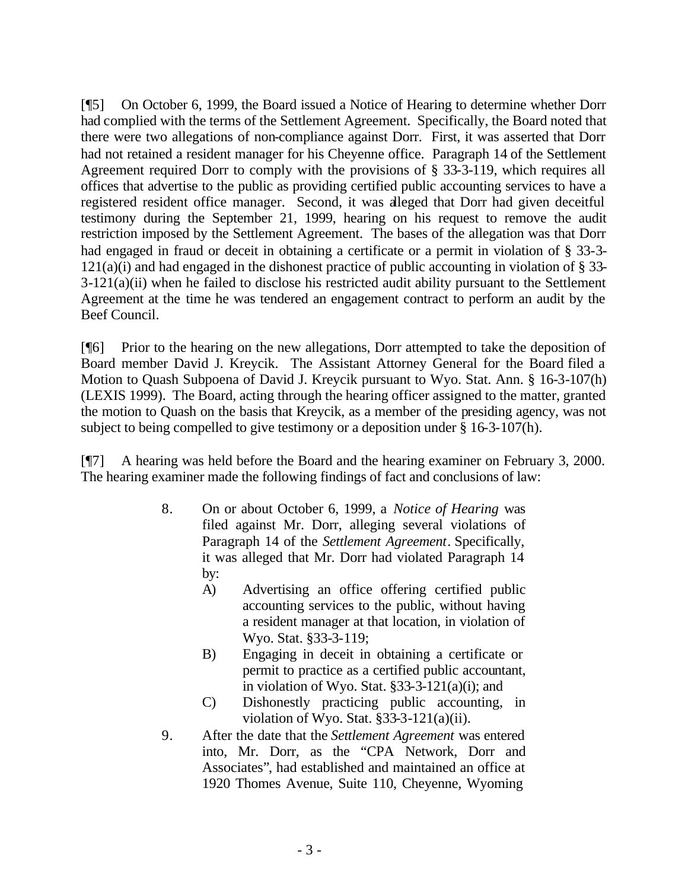[¶5] On October 6, 1999, the Board issued a Notice of Hearing to determine whether Dorr had complied with the terms of the Settlement Agreement. Specifically, the Board noted that there were two allegations of non-compliance against Dorr. First, it was asserted that Dorr had not retained a resident manager for his Cheyenne office. Paragraph 14 of the Settlement Agreement required Dorr to comply with the provisions of § 33-3-119, which requires all offices that advertise to the public as providing certified public accounting services to have a registered resident office manager. Second, it was alleged that Dorr had given deceitful testimony during the September 21, 1999, hearing on his request to remove the audit restriction imposed by the Settlement Agreement. The bases of the allegation was that Dorr had engaged in fraud or deceit in obtaining a certificate or a permit in violation of § 33-3-  $121(a)(i)$  and had engaged in the dishonest practice of public accounting in violation of § 33-3-121(a)(ii) when he failed to disclose his restricted audit ability pursuant to the Settlement Agreement at the time he was tendered an engagement contract to perform an audit by the Beef Council.

[¶6] Prior to the hearing on the new allegations, Dorr attempted to take the deposition of Board member David J. Kreycik. The Assistant Attorney General for the Board filed a Motion to Quash Subpoena of David J. Kreycik pursuant to Wyo. Stat. Ann. § 16-3-107(h) (LEXIS 1999). The Board, acting through the hearing officer assigned to the matter, granted the motion to Quash on the basis that Kreycik, as a member of the presiding agency, was not subject to being compelled to give testimony or a deposition under § 16-3-107(h).

[¶7] A hearing was held before the Board and the hearing examiner on February 3, 2000. The hearing examiner made the following findings of fact and conclusions of law:

- 8. On or about October 6, 1999, a *Notice of Hearing* was filed against Mr. Dorr, alleging several violations of Paragraph 14 of the *Settlement Agreement*. Specifically, it was alleged that Mr. Dorr had violated Paragraph 14 by:
	- A) Advertising an office offering certified public accounting services to the public, without having a resident manager at that location, in violation of Wyo. Stat. §33-3-119;
	- B) Engaging in deceit in obtaining a certificate or permit to practice as a certified public accountant, in violation of Wyo. Stat.  $§33-3-121(a)(i)$ ; and
	- C) Dishonestly practicing public accounting, in violation of Wyo. Stat. §33-3-121(a)(ii).
- 9. After the date that the *Settlement Agreement* was entered into, Mr. Dorr, as the "CPA Network, Dorr and Associates", had established and maintained an office at 1920 Thomes Avenue, Suite 110, Cheyenne, Wyoming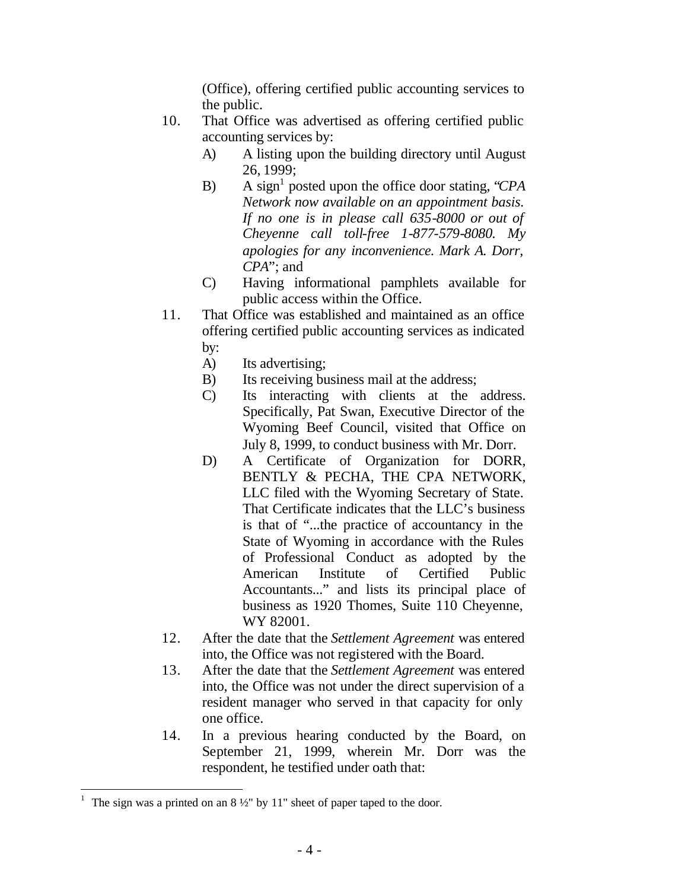(Office), offering certified public accounting services to the public.

- 10. That Office was advertised as offering certified public accounting services by:
	- A) A listing upon the building directory until August 26, 1999;
	- B) A sign<sup>1</sup> posted upon the office door stating, "*CPA Network now available on an appointment basis. If no one is in please call 635-8000 or out of Cheyenne call toll-free 1-877-579-8080. My apologies for any inconvenience. Mark A. Dorr, CPA*"; and
	- C) Having informational pamphlets available for public access within the Office.
- 11. That Office was established and maintained as an office offering certified public accounting services as indicated by:
	- A) Its advertising;
	- B) Its receiving business mail at the address;
	- C) Its interacting with clients at the address. Specifically, Pat Swan, Executive Director of the Wyoming Beef Council, visited that Office on July 8, 1999, to conduct business with Mr. Dorr.
	- D) A Certificate of Organization for DORR, BENTLY & PECHA, THE CPA NETWORK, LLC filed with the Wyoming Secretary of State. That Certificate indicates that the LLC's business is that of "...the practice of accountancy in the State of Wyoming in accordance with the Rules of Professional Conduct as adopted by the American Institute of Certified Public Accountants..." and lists its principal place of business as 1920 Thomes, Suite 110 Cheyenne, WY 82001.
- 12. After the date that the *Settlement Agreement* was entered into, the Office was not registered with the Board.
- 13. After the date that the *Settlement Agreement* was entered into, the Office was not under the direct supervision of a resident manager who served in that capacity for only one office.
- 14. In a previous hearing conducted by the Board, on September 21, 1999, wherein Mr. Dorr was the respondent, he testified under oath that:

<sup>1</sup> The sign was a printed on an 8 ½" by 11" sheet of paper taped to the door.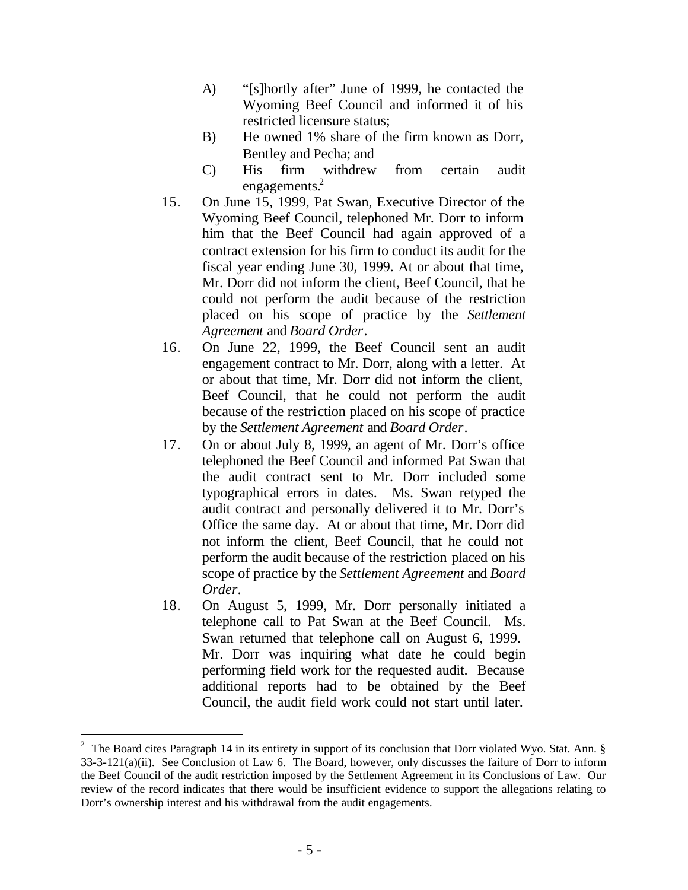- A) "[s]hortly after" June of 1999, he contacted the Wyoming Beef Council and informed it of his restricted licensure status;
- B) He owned 1% share of the firm known as Dorr, Bentley and Pecha; and
- C) His firm withdrew from certain audit engagements.<sup>2</sup>
- 15. On June 15, 1999, Pat Swan, Executive Director of the Wyoming Beef Council, telephoned Mr. Dorr to inform him that the Beef Council had again approved of a contract extension for his firm to conduct its audit for the fiscal year ending June 30, 1999. At or about that time, Mr. Dorr did not inform the client, Beef Council, that he could not perform the audit because of the restriction placed on his scope of practice by the *Settlement Agreement* and *Board Order*.
- 16. On June 22, 1999, the Beef Council sent an audit engagement contract to Mr. Dorr, along with a letter. At or about that time, Mr. Dorr did not inform the client, Beef Council, that he could not perform the audit because of the restriction placed on his scope of practice by the *Settlement Agreement* and *Board Order*.
- 17. On or about July 8, 1999, an agent of Mr. Dorr's office telephoned the Beef Council and informed Pat Swan that the audit contract sent to Mr. Dorr included some typographical errors in dates. Ms. Swan retyped the audit contract and personally delivered it to Mr. Dorr's Office the same day. At or about that time, Mr. Dorr did not inform the client, Beef Council, that he could not perform the audit because of the restriction placed on his scope of practice by the *Settlement Agreement* and *Board Order*.
- 18. On August 5, 1999, Mr. Dorr personally initiated a telephone call to Pat Swan at the Beef Council. Ms. Swan returned that telephone call on August 6, 1999. Mr. Dorr was inquiring what date he could begin performing field work for the requested audit. Because additional reports had to be obtained by the Beef Council, the audit field work could not start until later.

<sup>&</sup>lt;sup>2</sup> The Board cites Paragraph 14 in its entirety in support of its conclusion that Dorr violated Wyo. Stat. Ann.  $\S$ 33-3-121(a)(ii). See Conclusion of Law 6. The Board, however, only discusses the failure of Dorr to inform the Beef Council of the audit restriction imposed by the Settlement Agreement in its Conclusions of Law. Our review of the record indicates that there would be insufficient evidence to support the allegations relating to Dorr's ownership interest and his withdrawal from the audit engagements.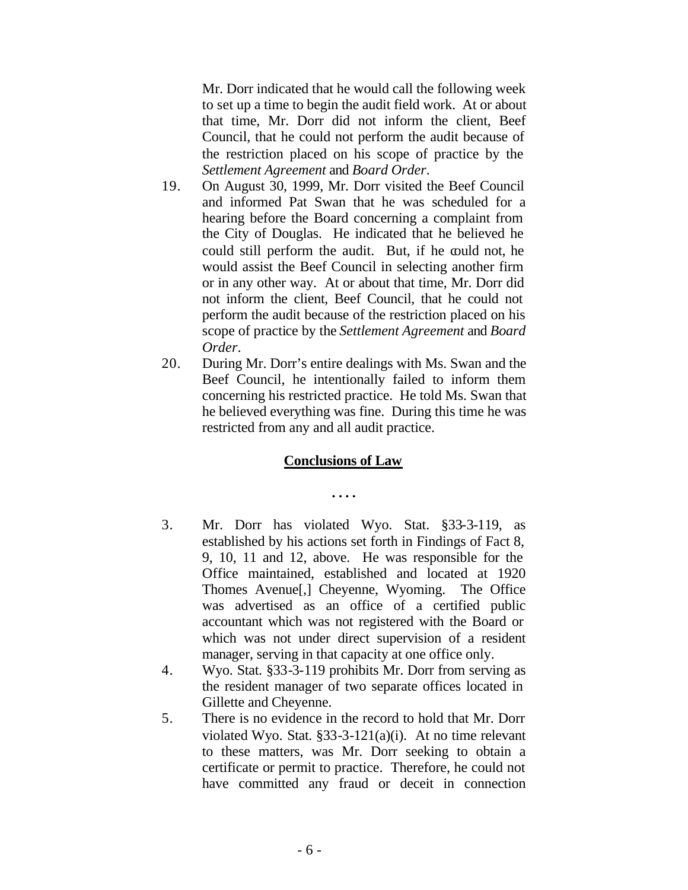Mr. Dorr indicated that he would call the following week to set up a time to begin the audit field work. At or about that time, Mr. Dorr did not inform the client, Beef Council, that he could not perform the audit because of the restriction placed on his scope of practice by the *Settlement Agreement* and *Board Order*.

- 19. On August 30, 1999, Mr. Dorr visited the Beef Council and informed Pat Swan that he was scheduled for a hearing before the Board concerning a complaint from the City of Douglas. He indicated that he believed he could still perform the audit. But, if he could not, he would assist the Beef Council in selecting another firm or in any other way. At or about that time, Mr. Dorr did not inform the client, Beef Council, that he could not perform the audit because of the restriction placed on his scope of practice by the *Settlement Agreement* and *Board Order*.
- 20. During Mr. Dorr's entire dealings with Ms. Swan and the Beef Council, he intentionally failed to inform them concerning his restricted practice. He told Ms. Swan that he believed everything was fine. During this time he was restricted from any and all audit practice.

## **Conclusions of Law**

**. . . .**

- 3. Mr. Dorr has violated Wyo. Stat. §33-3-119, as established by his actions set forth in Findings of Fact 8, 9, 10, 11 and 12, above. He was responsible for the Office maintained, established and located at 1920 Thomes Avenue[,] Cheyenne, Wyoming. The Office was advertised as an office of a certified public accountant which was not registered with the Board or which was not under direct supervision of a resident manager, serving in that capacity at one office only.
- 4. Wyo. Stat. §33-3-119 prohibits Mr. Dorr from serving as the resident manager of two separate offices located in Gillette and Cheyenne.
- 5. There is no evidence in the record to hold that Mr. Dorr violated Wyo. Stat. §33-3-121(a)(i). At no time relevant to these matters, was Mr. Dorr seeking to obtain a certificate or permit to practice. Therefore, he could not have committed any fraud or deceit in connection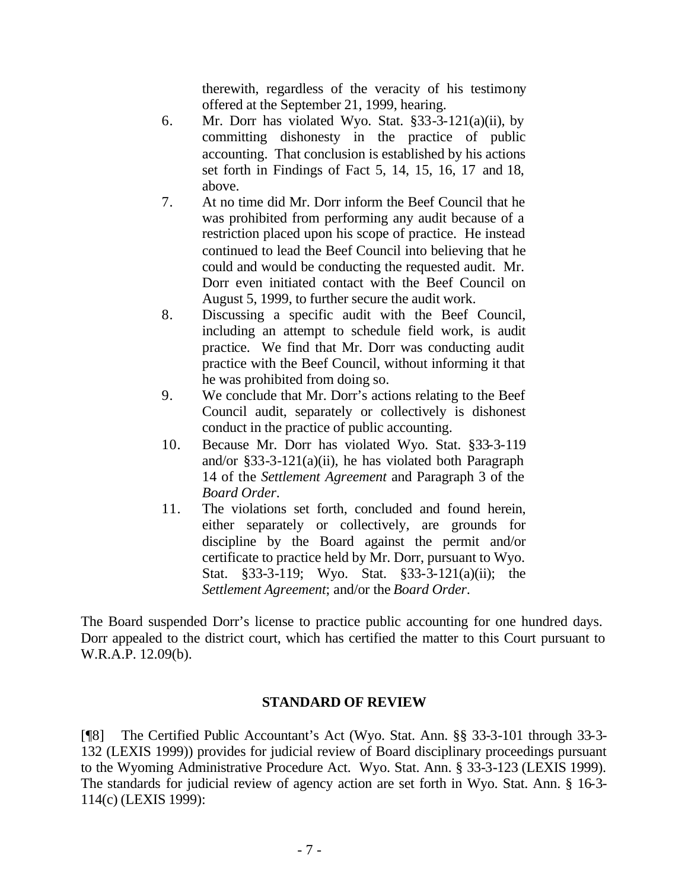therewith, regardless of the veracity of his testimony offered at the September 21, 1999, hearing.

- 6. Mr. Dorr has violated Wyo. Stat. §33-3-121(a)(ii), by committing dishonesty in the practice of public accounting. That conclusion is established by his actions set forth in Findings of Fact 5, 14, 15, 16, 17 and 18, above.
- 7. At no time did Mr. Dorr inform the Beef Council that he was prohibited from performing any audit because of a restriction placed upon his scope of practice. He instead continued to lead the Beef Council into believing that he could and would be conducting the requested audit. Mr. Dorr even initiated contact with the Beef Council on August 5, 1999, to further secure the audit work.
- 8. Discussing a specific audit with the Beef Council, including an attempt to schedule field work, is audit practice. We find that Mr. Dorr was conducting audit practice with the Beef Council, without informing it that he was prohibited from doing so.
- 9. We conclude that Mr. Dorr's actions relating to the Beef Council audit, separately or collectively is dishonest conduct in the practice of public accounting.
- 10. Because Mr. Dorr has violated Wyo. Stat. §33-3-119 and/or §33-3-121(a)(ii), he has violated both Paragraph 14 of the *Settlement Agreement* and Paragraph 3 of the *Board Order*.
- 11. The violations set forth, concluded and found herein, either separately or collectively, are grounds for discipline by the Board against the permit and/or certificate to practice held by Mr. Dorr, pursuant to Wyo. Stat. §33-3-119; Wyo. Stat. §33-3-121(a)(ii); the *Settlement Agreement*; and/or the *Board Order*.

The Board suspended Dorr's license to practice public accounting for one hundred days. Dorr appealed to the district court, which has certified the matter to this Court pursuant to W.R.A.P. 12.09(b).

#### **STANDARD OF REVIEW**

[¶8] The Certified Public Accountant's Act (Wyo. Stat. Ann. §§ 33-3-101 through 33-3- 132 (LEXIS 1999)) provides for judicial review of Board disciplinary proceedings pursuant to the Wyoming Administrative Procedure Act. Wyo. Stat. Ann. § 33-3-123 (LEXIS 1999). The standards for judicial review of agency action are set forth in Wyo. Stat. Ann. § 16-3- 114(c) (LEXIS 1999):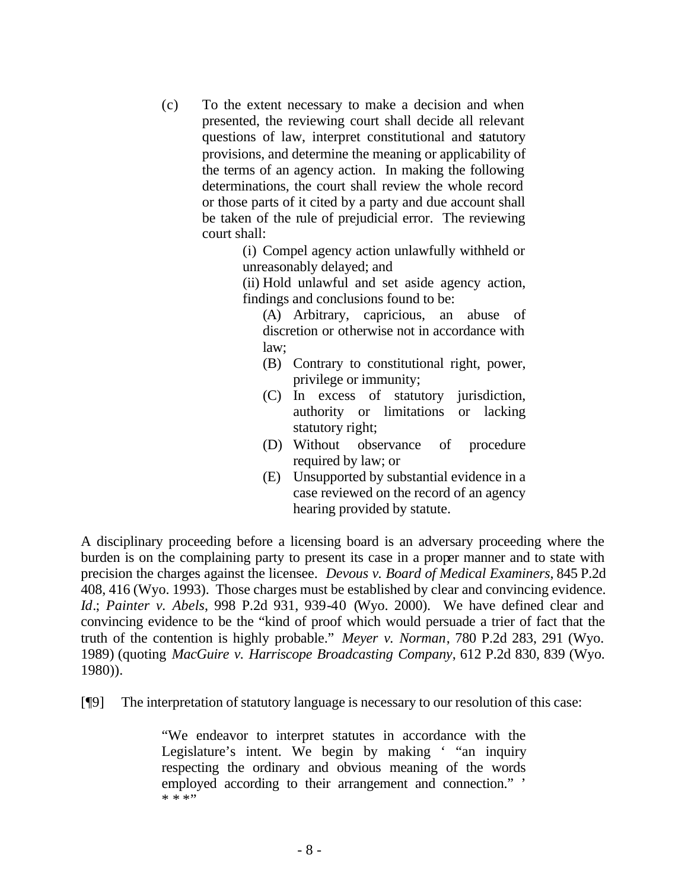(c) To the extent necessary to make a decision and when presented, the reviewing court shall decide all relevant questions of law, interpret constitutional and statutory provisions, and determine the meaning or applicability of the terms of an agency action. In making the following determinations, the court shall review the whole record or those parts of it cited by a party and due account shall be taken of the rule of prejudicial error. The reviewing court shall:

> (i) Compel agency action unlawfully withheld or unreasonably delayed; and

> (ii) Hold unlawful and set aside agency action, findings and conclusions found to be:

(A) Arbitrary, capricious, an abuse of discretion or otherwise not in accordance with law;

- (B) Contrary to constitutional right, power, privilege or immunity;
- (C) In excess of statutory jurisdiction, authority or limitations or lacking statutory right;
- (D) Without observance of procedure required by law; or
- (E) Unsupported by substantial evidence in a case reviewed on the record of an agency hearing provided by statute.

A disciplinary proceeding before a licensing board is an adversary proceeding where the burden is on the complaining party to present its case in a proper manner and to state with precision the charges against the licensee. *Devous v. Board of Medical Examiners*, 845 P.2d 408, 416 (Wyo. 1993). Those charges must be established by clear and convincing evidence. *Id*.; *Painter v. Abels*, 998 P.2d 931, 939-40 (Wyo. 2000). We have defined clear and convincing evidence to be the "kind of proof which would persuade a trier of fact that the truth of the contention is highly probable." *Meyer v. Norman*, 780 P.2d 283, 291 (Wyo. 1989) (quoting *MacGuire v. Harriscope Broadcasting Company*, 612 P.2d 830, 839 (Wyo. 1980)).

[¶9] The interpretation of statutory language is necessary to our resolution of this case:

"We endeavor to interpret statutes in accordance with the Legislature's intent. We begin by making ' "an inquiry respecting the ordinary and obvious meaning of the words employed according to their arrangement and connection." '  $* * * "$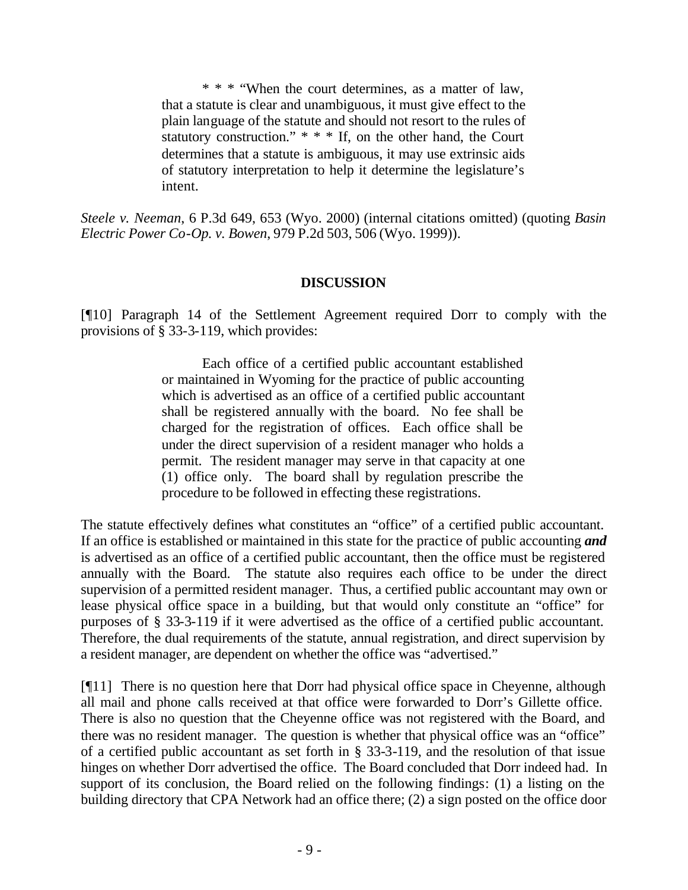\* \* \* "When the court determines, as a matter of law, that a statute is clear and unambiguous, it must give effect to the plain language of the statute and should not resort to the rules of statutory construction."  $* * *$  If, on the other hand, the Court determines that a statute is ambiguous, it may use extrinsic aids of statutory interpretation to help it determine the legislature's intent.

*Steele v. Neeman*, 6 P.3d 649, 653 (Wyo. 2000) (internal citations omitted) (quoting *Basin Electric Power Co-Op. v. Bowen*, 979 P.2d 503, 506 (Wyo. 1999)).

### **DISCUSSION**

[¶10] Paragraph 14 of the Settlement Agreement required Dorr to comply with the provisions of § 33-3-119, which provides:

> Each office of a certified public accountant established or maintained in Wyoming for the practice of public accounting which is advertised as an office of a certified public accountant shall be registered annually with the board. No fee shall be charged for the registration of offices. Each office shall be under the direct supervision of a resident manager who holds a permit. The resident manager may serve in that capacity at one (1) office only. The board shall by regulation prescribe the procedure to be followed in effecting these registrations.

The statute effectively defines what constitutes an "office" of a certified public accountant. If an office is established or maintained in this state for the practice of public accounting *and* is advertised as an office of a certified public accountant, then the office must be registered annually with the Board. The statute also requires each office to be under the direct supervision of a permitted resident manager. Thus, a certified public accountant may own or lease physical office space in a building, but that would only constitute an "office" for purposes of § 33-3-119 if it were advertised as the office of a certified public accountant. Therefore, the dual requirements of the statute, annual registration, and direct supervision by a resident manager, are dependent on whether the office was "advertised."

[¶11] There is no question here that Dorr had physical office space in Cheyenne, although all mail and phone calls received at that office were forwarded to Dorr's Gillette office. There is also no question that the Cheyenne office was not registered with the Board, and there was no resident manager. The question is whether that physical office was an "office" of a certified public accountant as set forth in § 33-3-119, and the resolution of that issue hinges on whether Dorr advertised the office. The Board concluded that Dorr indeed had. In support of its conclusion, the Board relied on the following findings: (1) a listing on the building directory that CPA Network had an office there; (2) a sign posted on the office door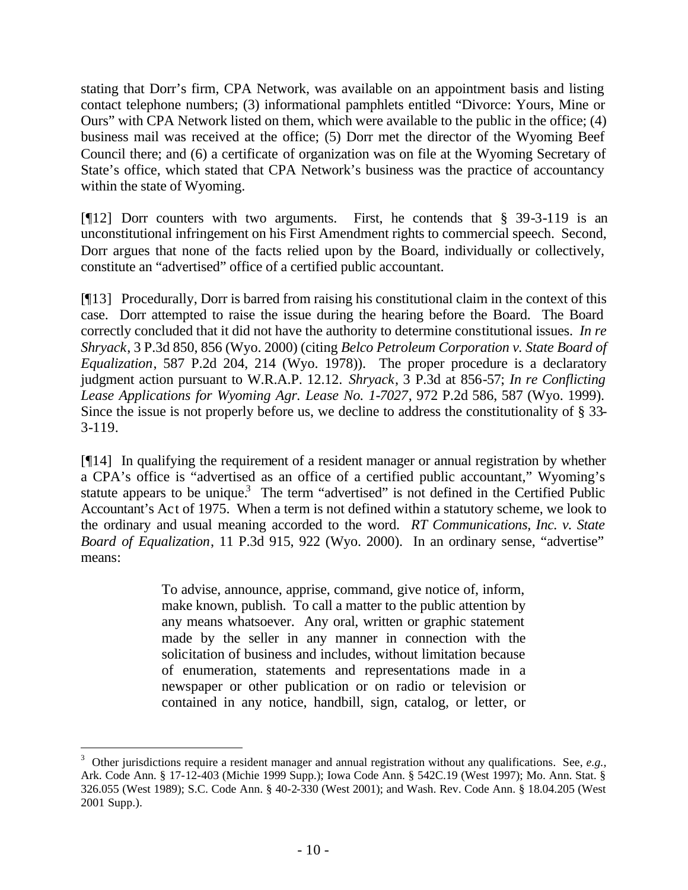stating that Dorr's firm, CPA Network, was available on an appointment basis and listing contact telephone numbers; (3) informational pamphlets entitled "Divorce: Yours, Mine or Ours" with CPA Network listed on them, which were available to the public in the office; (4) business mail was received at the office; (5) Dorr met the director of the Wyoming Beef Council there; and (6) a certificate of organization was on file at the Wyoming Secretary of State's office, which stated that CPA Network's business was the practice of accountancy within the state of Wyoming.

[¶12] Dorr counters with two arguments. First, he contends that § 39-3-119 is an unconstitutional infringement on his First Amendment rights to commercial speech. Second, Dorr argues that none of the facts relied upon by the Board, individually or collectively, constitute an "advertised" office of a certified public accountant.

[¶13] Procedurally, Dorr is barred from raising his constitutional claim in the context of this case. Dorr attempted to raise the issue during the hearing before the Board. The Board correctly concluded that it did not have the authority to determine constitutional issues. *In re Shryack*, 3 P.3d 850, 856 (Wyo. 2000) (citing *Belco Petroleum Corporation v. State Board of Equalization*, 587 P.2d 204, 214 (Wyo. 1978)). The proper procedure is a declaratory judgment action pursuant to W.R.A.P. 12.12. *Shryack*, 3 P.3d at 856-57; *In re Conflicting Lease Applications for Wyoming Agr. Lease No. 1-7027*, 972 P.2d 586, 587 (Wyo. 1999). Since the issue is not properly before us, we decline to address the constitutionality of § 33- 3-119.

[¶14] In qualifying the requirement of a resident manager or annual registration by whether a CPA's office is "advertised as an office of a certified public accountant," Wyoming's statute appears to be unique.<sup>3</sup> The term "advertised" is not defined in the Certified Public Accountant's Act of 1975. When a term is not defined within a statutory scheme, we look to the ordinary and usual meaning accorded to the word. *RT Communications, Inc. v. State Board of Equalization*, 11 P.3d 915, 922 (Wyo. 2000). In an ordinary sense, "advertise" means:

> To advise, announce, apprise, command, give notice of, inform, make known, publish. To call a matter to the public attention by any means whatsoever. Any oral, written or graphic statement made by the seller in any manner in connection with the solicitation of business and includes, without limitation because of enumeration, statements and representations made in a newspaper or other publication or on radio or television or contained in any notice, handbill, sign, catalog, or letter, or

<sup>3</sup> Other jurisdictions require a resident manager and annual registration without any qualifications. See, *e.g.,*  Ark. Code Ann. § 17-12-403 (Michie 1999 Supp.); Iowa Code Ann. § 542C.19 (West 1997); Mo. Ann. Stat. § 326.055 (West 1989); S.C. Code Ann. § 40-2-330 (West 2001); and Wash. Rev. Code Ann. § 18.04.205 (West 2001 Supp.).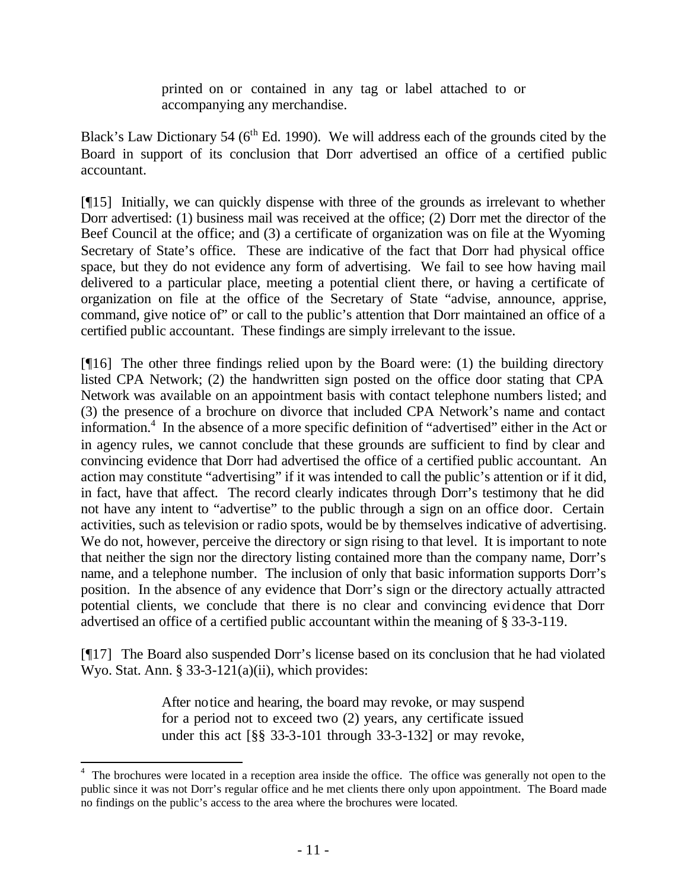printed on or contained in any tag or label attached to or accompanying any merchandise.

Black's Law Dictionary 54 ( $6<sup>th</sup>$  Ed. 1990). We will address each of the grounds cited by the Board in support of its conclusion that Dorr advertised an office of a certified public accountant.

[¶15] Initially, we can quickly dispense with three of the grounds as irrelevant to whether Dorr advertised: (1) business mail was received at the office; (2) Dorr met the director of the Beef Council at the office; and (3) a certificate of organization was on file at the Wyoming Secretary of State's office. These are indicative of the fact that Dorr had physical office space, but they do not evidence any form of advertising. We fail to see how having mail delivered to a particular place, meeting a potential client there, or having a certificate of organization on file at the office of the Secretary of State "advise, announce, apprise, command, give notice of" or call to the public's attention that Dorr maintained an office of a certified public accountant. These findings are simply irrelevant to the issue.

[¶16] The other three findings relied upon by the Board were: (1) the building directory listed CPA Network; (2) the handwritten sign posted on the office door stating that CPA Network was available on an appointment basis with contact telephone numbers listed; and (3) the presence of a brochure on divorce that included CPA Network's name and contact information.<sup>4</sup> In the absence of a more specific definition of "advertised" either in the Act or in agency rules, we cannot conclude that these grounds are sufficient to find by clear and convincing evidence that Dorr had advertised the office of a certified public accountant. An action may constitute "advertising" if it was intended to call the public's attention or if it did, in fact, have that affect. The record clearly indicates through Dorr's testimony that he did not have any intent to "advertise" to the public through a sign on an office door. Certain activities, such as television or radio spots, would be by themselves indicative of advertising. We do not, however, perceive the directory or sign rising to that level. It is important to note that neither the sign nor the directory listing contained more than the company name, Dorr's name, and a telephone number. The inclusion of only that basic information supports Dorr's position. In the absence of any evidence that Dorr's sign or the directory actually attracted potential clients, we conclude that there is no clear and convincing evidence that Dorr advertised an office of a certified public accountant within the meaning of § 33-3-119.

[¶17] The Board also suspended Dorr's license based on its conclusion that he had violated Wyo. Stat. Ann. § 33-3-121(a)(ii), which provides:

> After notice and hearing, the board may revoke, or may suspend for a period not to exceed two (2) years, any certificate issued under this act [§§ 33-3-101 through 33-3-132] or may revoke,

<sup>&</sup>lt;sup>4</sup> The brochures were located in a reception area inside the office. The office was generally not open to the public since it was not Dorr's regular office and he met clients there only upon appointment. The Board made no findings on the public's access to the area where the brochures were located.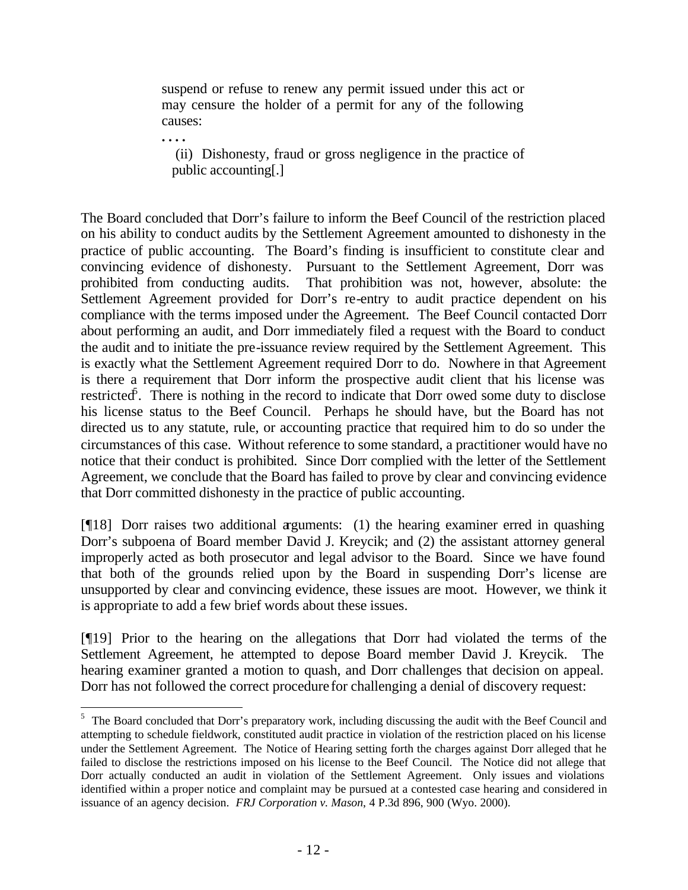suspend or refuse to renew any permit issued under this act or may censure the holder of a permit for any of the following causes:

**. . . .**

l

 (ii) Dishonesty, fraud or gross negligence in the practice of public accounting[.]

The Board concluded that Dorr's failure to inform the Beef Council of the restriction placed on his ability to conduct audits by the Settlement Agreement amounted to dishonesty in the practice of public accounting. The Board's finding is insufficient to constitute clear and convincing evidence of dishonesty. Pursuant to the Settlement Agreement, Dorr was prohibited from conducting audits. That prohibition was not, however, absolute: the Settlement Agreement provided for Dorr's re-entry to audit practice dependent on his compliance with the terms imposed under the Agreement. The Beef Council contacted Dorr about performing an audit, and Dorr immediately filed a request with the Board to conduct the audit and to initiate the pre-issuance review required by the Settlement Agreement. This is exactly what the Settlement Agreement required Dorr to do. Nowhere in that Agreement is there a requirement that Dorr inform the prospective audit client that his license was restricted<sup>5</sup>. There is nothing in the record to indicate that Dorr owed some duty to disclose his license status to the Beef Council. Perhaps he should have, but the Board has not directed us to any statute, rule, or accounting practice that required him to do so under the circumstances of this case. Without reference to some standard, a practitioner would have no notice that their conduct is prohibited. Since Dorr complied with the letter of the Settlement Agreement, we conclude that the Board has failed to prove by clear and convincing evidence that Dorr committed dishonesty in the practice of public accounting.

[¶18] Dorr raises two additional arguments: (1) the hearing examiner erred in quashing Dorr's subpoena of Board member David J. Kreycik; and (2) the assistant attorney general improperly acted as both prosecutor and legal advisor to the Board. Since we have found that both of the grounds relied upon by the Board in suspending Dorr's license are unsupported by clear and convincing evidence, these issues are moot. However, we think it is appropriate to add a few brief words about these issues.

[¶19] Prior to the hearing on the allegations that Dorr had violated the terms of the Settlement Agreement, he attempted to depose Board member David J. Kreycik. The hearing examiner granted a motion to quash, and Dorr challenges that decision on appeal. Dorr has not followed the correct procedure for challenging a denial of discovery request:

<sup>&</sup>lt;sup>5</sup> The Board concluded that Dorr's preparatory work, including discussing the audit with the Beef Council and attempting to schedule fieldwork, constituted audit practice in violation of the restriction placed on his license under the Settlement Agreement. The Notice of Hearing setting forth the charges against Dorr alleged that he failed to disclose the restrictions imposed on his license to the Beef Council. The Notice did not allege that Dorr actually conducted an audit in violation of the Settlement Agreement. Only issues and violations identified within a proper notice and complaint may be pursued at a contested case hearing and considered in issuance of an agency decision. *FRJ Corporation v. Mason*, 4 P.3d 896, 900 (Wyo. 2000).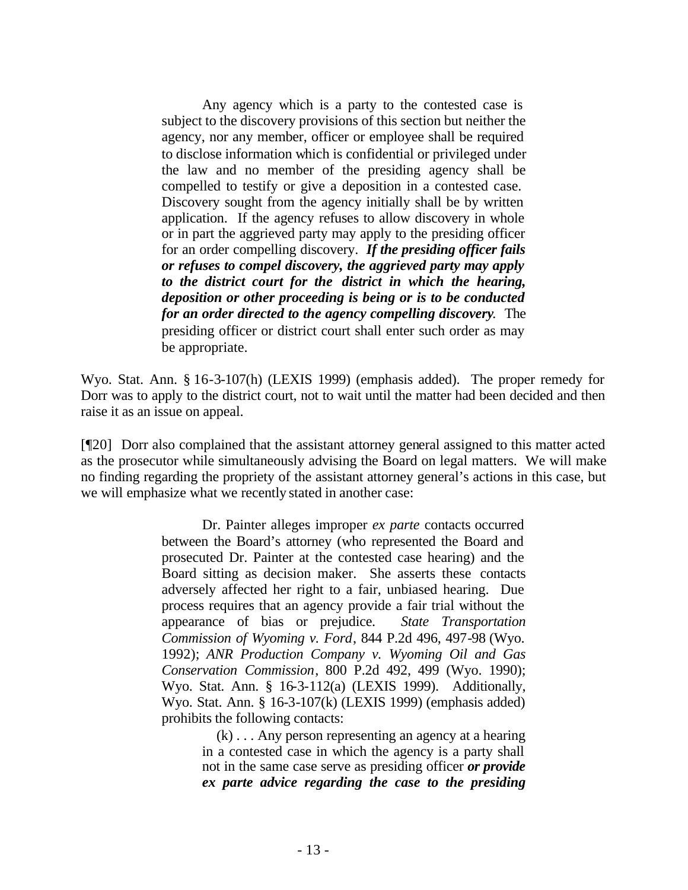Any agency which is a party to the contested case is subject to the discovery provisions of this section but neither the agency, nor any member, officer or employee shall be required to disclose information which is confidential or privileged under the law and no member of the presiding agency shall be compelled to testify or give a deposition in a contested case. Discovery sought from the agency initially shall be by written application. If the agency refuses to allow discovery in whole or in part the aggrieved party may apply to the presiding officer for an order compelling discovery. *If the presiding officer fails or refuses to compel discovery, the aggrieved party may apply to the district court for the district in which the hearing, deposition or other proceeding is being or is to be conducted for an order directed to the agency compelling discovery.* The presiding officer or district court shall enter such order as may be appropriate.

Wyo. Stat. Ann. § 16-3-107(h) (LEXIS 1999) (emphasis added). The proper remedy for Dorr was to apply to the district court, not to wait until the matter had been decided and then raise it as an issue on appeal.

[¶20] Dorr also complained that the assistant attorney general assigned to this matter acted as the prosecutor while simultaneously advising the Board on legal matters. We will make no finding regarding the propriety of the assistant attorney general's actions in this case, but we will emphasize what we recently stated in another case:

> Dr. Painter alleges improper *ex parte* contacts occurred between the Board's attorney (who represented the Board and prosecuted Dr. Painter at the contested case hearing) and the Board sitting as decision maker. She asserts these contacts adversely affected her right to a fair, unbiased hearing. Due process requires that an agency provide a fair trial without the appearance of bias or prejudice. *State Transportation Commission of Wyoming v. Ford*, 844 P.2d 496, 497-98 (Wyo. 1992); *ANR Production Company v. Wyoming Oil and Gas Conservation Commission*, 800 P.2d 492, 499 (Wyo. 1990); Wyo. Stat. Ann. § 16-3-112(a) (LEXIS 1999). Additionally, Wyo. Stat. Ann. § 16-3-107(k) (LEXIS 1999) (emphasis added) prohibits the following contacts:

> > (k) . . . Any person representing an agency at a hearing in a contested case in which the agency is a party shall not in the same case serve as presiding officer *or provide ex parte advice regarding the case to the presiding*